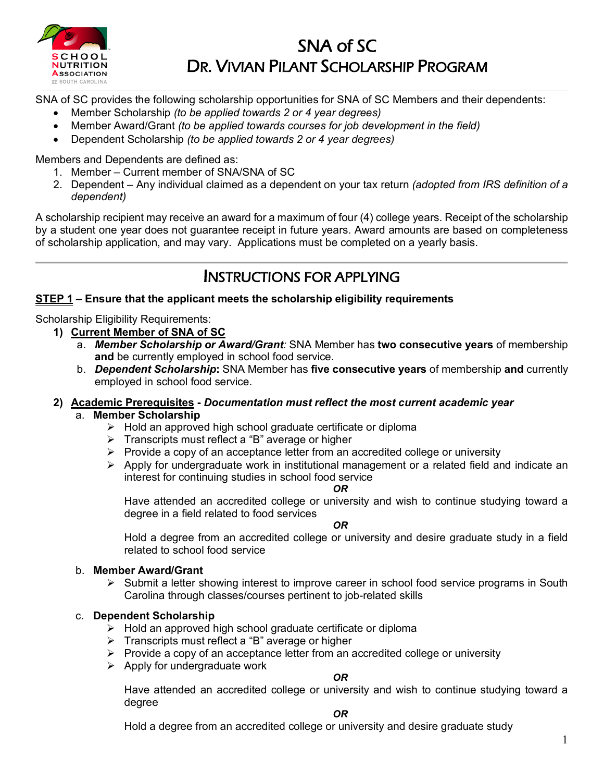

# SNA of SC DR. VIVIAN PILANT SCHOLARSHIP PROGRAM

SNA of SC provides the following scholarship opportunities for SNA of SC Members and their dependents:

- Member Scholarship *(to be applied towards 2 or 4 year degrees)*
- Member Award/Grant *(to be applied towards courses for job development in the field)*
- Dependent Scholarship *(to be applied towards 2 or 4 year degrees)*

Members and Dependents are defined as:

- 1. Member Current member of SNA/SNA of SC
- 2. Dependent Any individual claimed as a dependent on your tax return *(adopted from IRS definition of a dependent)*

A scholarship recipient may receive an award for a maximum of four (4) college years. Receipt of the scholarship by a student one year does not guarantee receipt in future years. Award amounts are based on completeness of scholarship application, and may vary. Applications must be completed on a yearly basis.

## INSTRUCTIONS FOR APPLYING

## **STEP 1 – Ensure that the applicant meets the scholarship eligibility requirements**

Scholarship Eligibility Requirements:

- **1) Current Member of SNA of SC**
	- a. *Member Scholarship or Award/Grant:* SNA Member has **two consecutive years** of membership **and** be currently employed in school food service.
	- b. *Dependent Scholarship***:** SNA Member has **five consecutive years** of membership **and** currently employed in school food service.

## **2) Academic Prerequisites -** *Documentation must reflect the most current academic year*

## a. **Member Scholarship**

- $\triangleright$  Hold an approved high school graduate certificate or diploma
- $\triangleright$  Transcripts must reflect a "B" average or higher
- $\triangleright$  Provide a copy of an acceptance letter from an accredited college or university
- $\triangleright$  Apply for undergraduate work in institutional management or a related field and indicate an interest for continuing studies in school food service

#### *OR*

Have attended an accredited college or university and wish to continue studying toward a degree in a field related to food services

*OR*

Hold a degree from an accredited college or university and desire graduate study in a field related to school food service

## b. **Member Award/Grant**

 $\triangleright$  Submit a letter showing interest to improve career in school food service programs in South Carolina through classes/courses pertinent to job-related skills

## c. **Dependent Scholarship**

- $\triangleright$  Hold an approved high school graduate certificate or diploma
- > Transcripts must reflect a "B" average or higher
- $\triangleright$  Provide a copy of an acceptance letter from an accredited college or university
- $\triangleright$  Apply for undergraduate work

## *OR*

Have attended an accredited college or university and wish to continue studying toward a degree

#### *OR*

Hold a degree from an accredited college or university and desire graduate study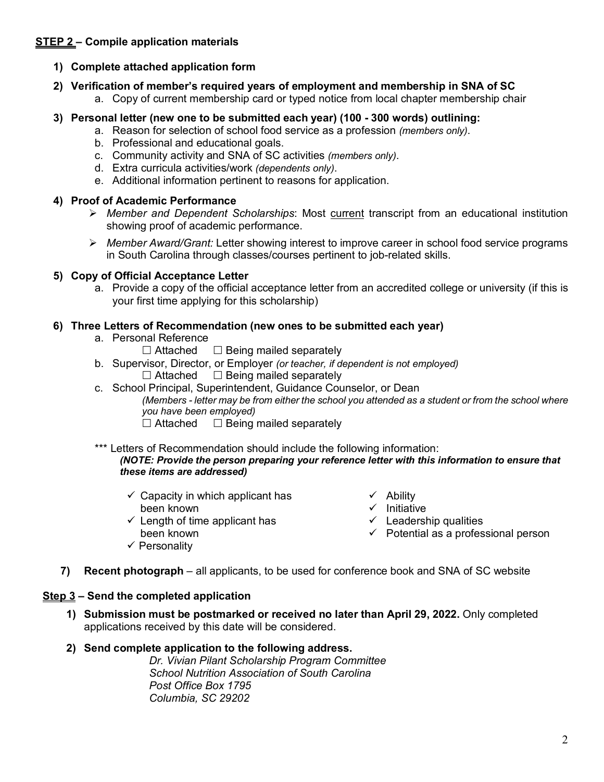## **STEP 2 – Compile application materials**

### **1) Complete attached application form**

- **2) Verification of member's required years of employment and membership in SNA of SC** a. Copy of current membership card or typed notice from local chapter membership chair
- **3) Personal letter (new one to be submitted each year) (100 - 300 words) outlining:**
	- a. Reason for selection of school food service as a profession *(members only)*.
	- b. Professional and educational goals.
	- c. Community activity and SNA of SC activities *(members only)*.
	- d. Extra curricula activities/work *(dependents only)*.
	- e. Additional information pertinent to reasons for application.

### **4) Proof of Academic Performance**

- *Member and Dependent Scholarships*: Most current transcript from an educational institution showing proof of academic performance.
- *Member Award/Grant:* Letter showing interest to improve career in school food service programs in South Carolina through classes/courses pertinent to job-related skills.

### **5) Copy of Official Acceptance Letter**

a. Provide a copy of the official acceptance letter from an accredited college or university (if this is your first time applying for this scholarship)

#### **6) Three Letters of Recommendation (new ones to be submitted each year)**

- a. Personal Reference
	- $\Box$  Attached  $\Box$  Being mailed separately
- b. Supervisor, Director, or Employer *(or teacher, if dependent is not employed)*  $\Box$  Attached  $\Box$  Being mailed separately
- c. School Principal, Superintendent, Guidance Counselor, or Dean *(Members - letter may be from either the school you attended as a student or from the school where* 
	- *you have been employed)*
	- $\Box$  Attached  $\Box$  Being mailed separately

#### \*\*\* Letters of Recommendation should include the following information: *(NOTE: Provide the person preparing your reference letter with this information to ensure that these items are addressed)*

- $\checkmark$  Capacity in which applicant has been known
	-
- $\checkmark$  Length of time applicant has been known
- $\checkmark$  Personality

 $\checkmark$  Initiative

 $\checkmark$  Ability

- $\checkmark$  Leadership qualities
- $\checkmark$  Potential as a professional person
- **7) Recent photograph** all applicants, to be used for conference book and SNA of SC website

## **Step 3 – Send the completed application**

**1) Submission must be postmarked or received no later than April 29, 2022.** Only completed applications received by this date will be considered.

## **2) Send complete application to the following address.**

*Dr. Vivian Pilant Scholarship Program Committee School Nutrition Association of South Carolina Post Office Box 1795 Columbia, SC 29202*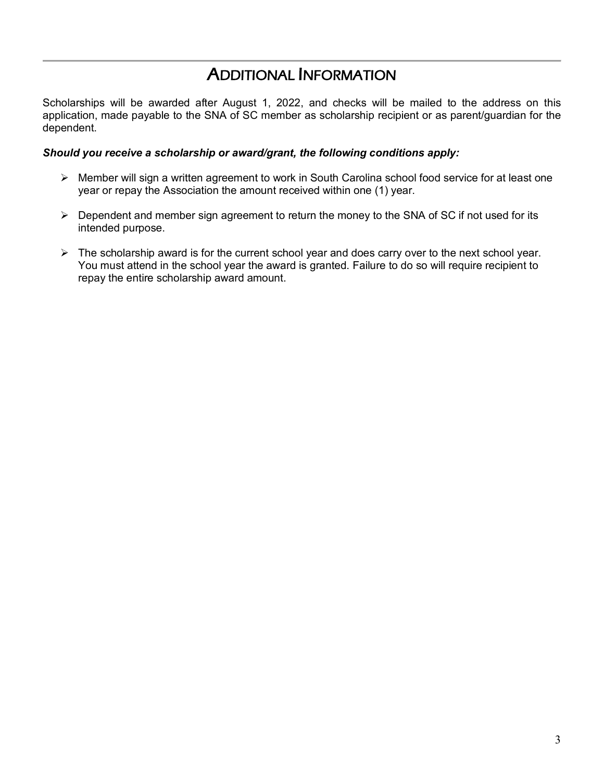## ADDITIONAL INFORMATION

Scholarships will be awarded after August 1, 2022, and checks will be mailed to the address on this application, made payable to the SNA of SC member as scholarship recipient or as parent/guardian for the dependent.

#### *Should you receive a scholarship or award/grant, the following conditions apply:*

- Member will sign a written agreement to work in South Carolina school food service for at least one year or repay the Association the amount received within one (1) year.
- $\triangleright$  Dependent and member sign agreement to return the money to the SNA of SC if not used for its intended purpose.
- $\triangleright$  The scholarship award is for the current school year and does carry over to the next school year. You must attend in the school year the award is granted. Failure to do so will require recipient to repay the entire scholarship award amount.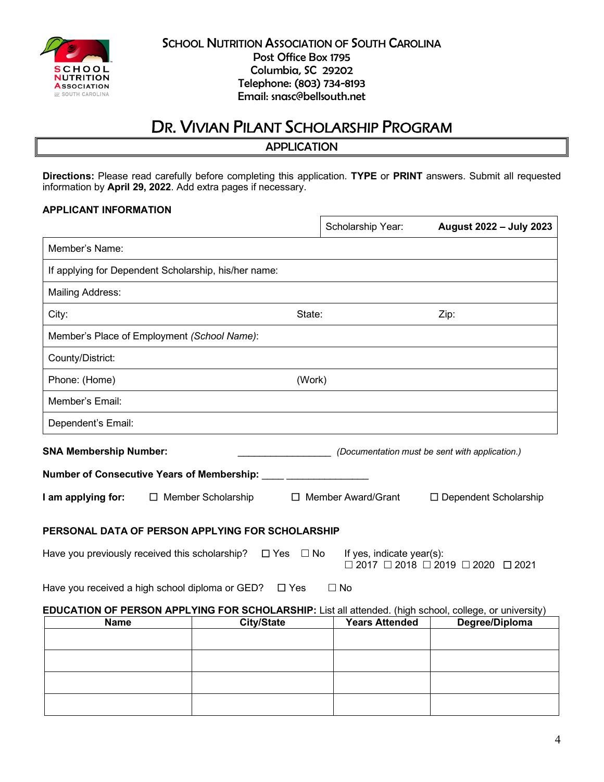

#### **SCHOOL NUTRITION ASSOCIATION OF SOUTH CAROLINA** Post Office Box 1795 Columbia, SC 29202 Telephone: (803) 734-8193 Email: snasc@bellsouth.net

## DR. VIVIAN PILANT SCHOLARSHIP PROGRAM

APPLICATION

**Directions:** Please read carefully before completing this application. **TYPE** or **PRINT** answers. Submit all requested information by **April 29, 2022**. Add extra pages if necessary.

 $\overline{\Gamma}$ 

#### **APPLICANT INFORMATION**

|                                                                                                        |                      |                      | Scholarship Year:         | August 2022 - July 2023                                     |
|--------------------------------------------------------------------------------------------------------|----------------------|----------------------|---------------------------|-------------------------------------------------------------|
| Member's Name:                                                                                         |                      |                      |                           |                                                             |
| If applying for Dependent Scholarship, his/her name:                                                   |                      |                      |                           |                                                             |
| <b>Mailing Address:</b>                                                                                |                      |                      |                           |                                                             |
| City:                                                                                                  |                      | State:               |                           | Zip:                                                        |
| Member's Place of Employment (School Name):                                                            |                      |                      |                           |                                                             |
| County/District:                                                                                       |                      |                      |                           |                                                             |
| Phone: (Home)                                                                                          |                      | (Work)               |                           |                                                             |
| Member's Email:                                                                                        |                      |                      |                           |                                                             |
| Dependent's Email:                                                                                     |                      |                      |                           |                                                             |
| <b>SNA Membership Number:</b>                                                                          |                      |                      |                           | (Documentation must be sent with application.)              |
| Number of Consecutive Years of Membership:                                                             |                      |                      |                           |                                                             |
| I am applying for:                                                                                     | □ Member Scholarship |                      | $\Box$ Member Award/Grant | □ Dependent Scholarship                                     |
| PERSONAL DATA OF PERSON APPLYING FOR SCHOLARSHIP                                                       |                      |                      |                           |                                                             |
| Have you previously received this scholarship?                                                         |                      | $\Box$ Yes $\Box$ No | If yes, indicate year(s): | $\Box$ 2017 $\Box$ 2018 $\Box$ 2019 $\Box$ 2020 $\Box$ 2021 |
| Have you received a high school diploma or GED?                                                        |                      | $\Box$ Yes           | $\Box$ No                 |                                                             |
| EDUCATION OF PERSON APPLYING FOR SCHOLARSHIP: List all attended. (high school, college, or university) |                      |                      |                           |                                                             |
| <b>Name</b>                                                                                            | <b>City/State</b>    |                      | <b>Years Attended</b>     | Degree/Diploma                                              |
|                                                                                                        |                      |                      |                           |                                                             |
|                                                                                                        |                      |                      |                           |                                                             |
|                                                                                                        |                      |                      |                           |                                                             |
|                                                                                                        |                      |                      |                           |                                                             |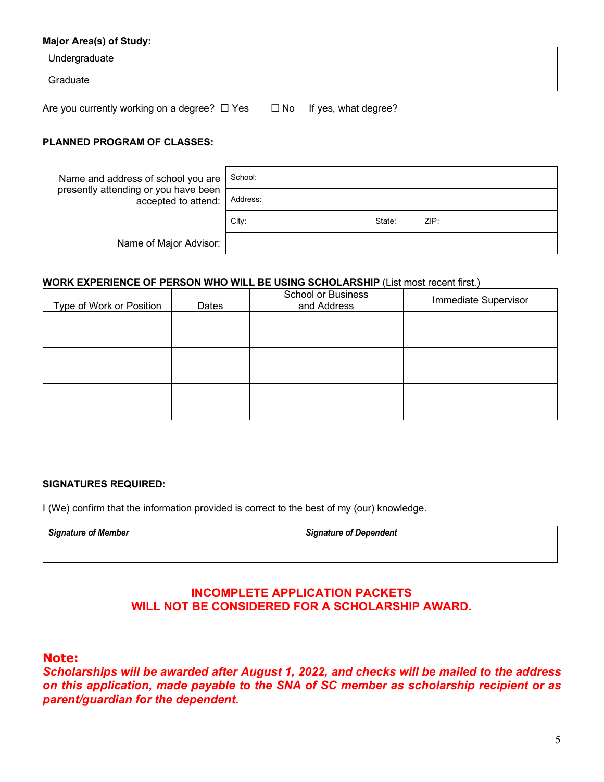#### **Major Area(s) of Study:**

| Undergraduate |  |
|---------------|--|
| Graduate      |  |

Are you currently working on a degree?  $\Box$  Yes  $\Box$  No If yes, what degree?  $\Box$ 

#### **PLANNED PROGRAM OF CLASSES:**

| Name and address of school you are                          | School:  |        |      |
|-------------------------------------------------------------|----------|--------|------|
| presently attending or you have been<br>accepted to attend: | Address: |        |      |
|                                                             | City:    | State: | ZIP: |
| Name of Major Advisor:                                      |          |        |      |

#### **WORK EXPERIENCE OF PERSON WHO WILL BE USING SCHOLARSHIP** (List most recent first.)

| Type of Work or Position | Dates | <b>School or Business</b><br>and Address | Immediate Supervisor |
|--------------------------|-------|------------------------------------------|----------------------|
|                          |       |                                          |                      |
|                          |       |                                          |                      |
|                          |       |                                          |                      |
|                          |       |                                          |                      |
|                          |       |                                          |                      |
|                          |       |                                          |                      |

#### **SIGNATURES REQUIRED:**

I (We) confirm that the information provided is correct to the best of my (our) knowledge.

| <b>Signature of Member</b> | <b>Signature of Dependent</b> |  |  |
|----------------------------|-------------------------------|--|--|
|                            |                               |  |  |

## **INCOMPLETE APPLICATION PACKETS WILL NOT BE CONSIDERED FOR A SCHOLARSHIP AWARD.**

#### **Note:**

*Scholarships will be awarded after August 1, 2022, and checks will be mailed to the address on this application, made payable to the SNA of SC member as scholarship recipient or as parent/guardian for the dependent.*